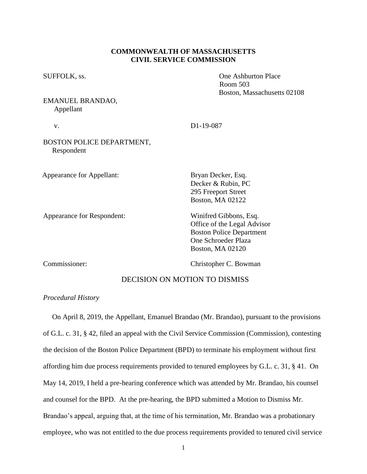### **COMMONWEALTH OF MASSACHUSETTS CIVIL SERVICE COMMISSION**

EMANUEL BRANDAO, Appellant

SUFFOLK, ss.  $\qquad \qquad$  One Ashburton Place Room 503 Boston, Massachusetts 02108

| V.                                      | D <sub>1</sub> -19-087                                                                                          |
|-----------------------------------------|-----------------------------------------------------------------------------------------------------------------|
| BOSTON POLICE DEPARTMENT,<br>Respondent |                                                                                                                 |
| <b>Appearance for Appellant:</b>        | Bryan Decker, Esq.<br>Decker & Rubin, PC<br>295 Freeport Street<br><b>Boston, MA 02122</b>                      |
| Appearance for Respondent:              | Winifred Gibbons, Esq.<br>Office of the Legal Advisor<br><b>Boston Police Department</b><br>One Schroeder Plaza |

Commissioner: Christopher C. Bowman

Boston, MA 02120

## DECISION ON MOTION TO DISMISS

### *Procedural History*

 On April 8, 2019, the Appellant, Emanuel Brandao (Mr. Brandao), pursuant to the provisions of G.L. c. 31, § 42, filed an appeal with the Civil Service Commission (Commission), contesting the decision of the Boston Police Department (BPD) to terminate his employment without first affording him due process requirements provided to tenured employees by G.L. c. 31, § 41. On May 14, 2019, I held a pre-hearing conference which was attended by Mr. Brandao, his counsel and counsel for the BPD. At the pre-hearing, the BPD submitted a Motion to Dismiss Mr. Brandao's appeal, arguing that, at the time of his termination, Mr. Brandao was a probationary employee, who was not entitled to the due process requirements provided to tenured civil service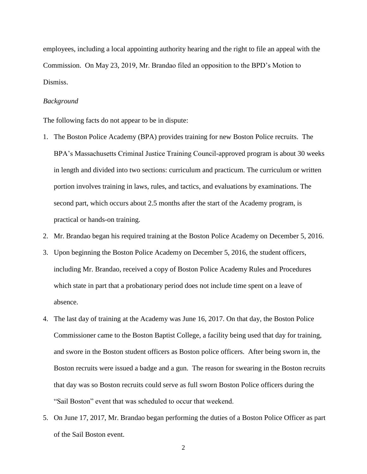employees, including a local appointing authority hearing and the right to file an appeal with the Commission. On May 23, 2019, Mr. Brandao filed an opposition to the BPD's Motion to Dismiss.

#### *Background*

The following facts do not appear to be in dispute:

- 1. The Boston Police Academy (BPA) provides training for new Boston Police recruits. The BPA's Massachusetts Criminal Justice Training Council-approved program is about 30 weeks in length and divided into two sections: curriculum and practicum. The curriculum or written portion involves training in laws, rules, and tactics, and evaluations by examinations. The second part, which occurs about 2.5 months after the start of the Academy program, is practical or hands-on training.
- 2. Mr. Brandao began his required training at the Boston Police Academy on December 5, 2016.
- 3. Upon beginning the Boston Police Academy on December 5, 2016, the student officers, including Mr. Brandao, received a copy of Boston Police Academy Rules and Procedures which state in part that a probationary period does not include time spent on a leave of absence.
- 4. The last day of training at the Academy was June 16, 2017. On that day, the Boston Police Commissioner came to the Boston Baptist College, a facility being used that day for training, and swore in the Boston student officers as Boston police officers. After being sworn in, the Boston recruits were issued a badge and a gun. The reason for swearing in the Boston recruits that day was so Boston recruits could serve as full sworn Boston Police officers during the "Sail Boston" event that was scheduled to occur that weekend.
- 5. On June 17, 2017, Mr. Brandao began performing the duties of a Boston Police Officer as part of the Sail Boston event.

2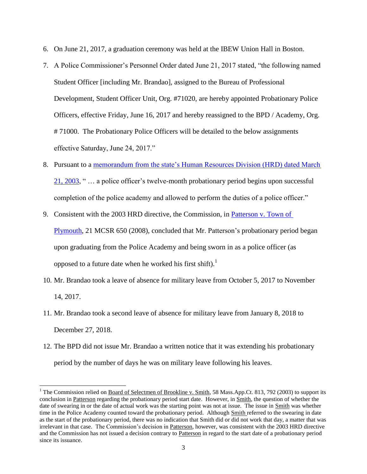- 6. On June 21, 2017, a graduation ceremony was held at the IBEW Union Hall in Boston.
- 7. A Police Commissioner's Personnel Order dated June 21, 2017 stated, "the following named Student Officer [including Mr. Brandao], assigned to the Bureau of Professional Development, Student Officer Unit, Org. #71020, are hereby appointed Probationary Police Officers, effective Friday, June 16, 2017 and hereby reassigned to the BPD / Academy, Org. # 71000. The Probationary Police Officers will be detailed to the below assignments effective Saturday, June 24, 2017."
- 8. Pursuant to a memorandum from the state's Human Resources Division (HRD) dated March [21, 2003,](https://www.mass.gov/files/documents/2016/07/nz/impact-student-officer-bill.doc?_ga=2.219175705.1233781130.1560798285-542557170.1552248761) " … a police officer's twelve-month probationary period begins upon successful completion of the police academy and allowed to perform the duties of a police officer."
- 9. Consistent with the 2003 HRD directive, the Commission, in [Patterson v. Town of](https://www.mass.gov/files/documents/2016/07/px/patterson-ralph-112008.pdf)  [Plymouth,](https://www.mass.gov/files/documents/2016/07/px/patterson-ralph-112008.pdf) 21 MCSR 650 (2008), concluded that Mr. Patterson's probationary period began upon graduating from the Police Academy and being sworn in as a police officer (as opposed to a future date when he worked his first shift). $<sup>1</sup>$ </sup>
- 10. Mr. Brandao took a leave of absence for military leave from October 5, 2017 to November 14, 2017.
- 11. Mr. Brandao took a second leave of absence for military leave from January 8, 2018 to December 27, 2018.
- 12. The BPD did not issue Mr. Brandao a written notice that it was extending his probationary period by the number of days he was on military leave following his leaves.

l

<sup>&</sup>lt;sup>1</sup> The Commission relied on <u>Board of Selectmen of Brookline v. Smith</u>, 58 Mass.App.Ct. 813, 792 (2003) to support its conclusion in Patterson regarding the probationary period start date. However, in Smith, the question of whether the date of swearing in or the date of actual work was the starting point was not at issue. The issue in Smith was whether time in the Police Academy counted toward the probationary period. Although Smith referred to the swearing in date as the start of the probationary period, there was no indication that Smith did or did not work that day, a matter that was irrelevant in that case. The Commission's decision in Patterson, however, was consistent with the 2003 HRD directive and the Commission has not issued a decision contrary to Patterson in regard to the start date of a probationary period since its issuance.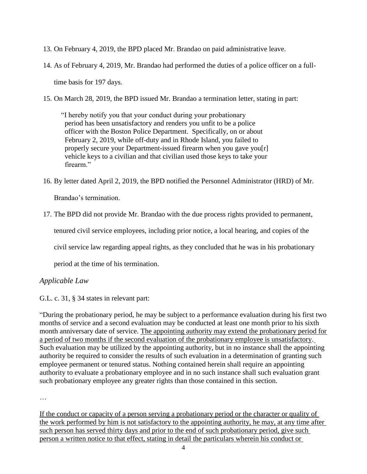- 13. On February 4, 2019, the BPD placed Mr. Brandao on paid administrative leave.
- 14. As of February 4, 2019, Mr. Brandao had performed the duties of a police officer on a fulltime basis for 197 days.
- 15. On March 28, 2019, the BPD issued Mr. Brandao a termination letter, stating in part:

"I hereby notify you that your conduct during your probationary period has been unsatisfactory and renders you unfit to be a police officer with the Boston Police Department. Specifically, on or about February 2, 2019, while off-duty and in Rhode Island, you failed to properly secure your Department-issued firearm when you gave you[r] vehicle keys to a civilian and that civilian used those keys to take your firearm"

16. By letter dated April 2, 2019, the BPD notified the Personnel Administrator (HRD) of Mr. Brandao's termination.

17. The BPD did not provide Mr. Brandao with the due process rights provided to permanent,

tenured civil service employees, including prior notice, a local hearing, and copies of the

civil service law regarding appeal rights, as they concluded that he was in his probationary

period at the time of his termination.

# *Applicable Law*

G.L. c. 31, § 34 states in relevant part:

"During the probationary period, he may be subject to a performance evaluation during his first two months of service and a second evaluation may be conducted at least one month prior to his sixth month anniversary date of service. The appointing authority may extend the probationary period for a period of two months if the second evaluation of the probationary employee is unsatisfactory. Such evaluation may be utilized by the appointing authority, but in no instance shall the appointing authority be required to consider the results of such evaluation in a determination of granting such employee permanent or tenured status. Nothing contained herein shall require an appointing authority to evaluate a probationary employee and in no such instance shall such evaluation grant such probationary employee any greater rights than those contained in this section.

…

If the conduct or capacity of a person serving a probationary period or the character or quality of the work performed by him is not satisfactory to the appointing authority, he may, at any time after such person has served thirty days and prior to the end of such probationary period, give such person a written notice to that effect, stating in detail the particulars wherein his conduct or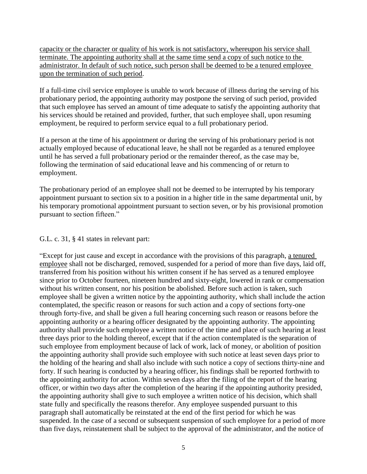capacity or the character or quality of his work is not satisfactory, whereupon his service shall terminate. The appointing authority shall at the same time send a copy of such notice to the administrator. In default of such notice, such person shall be deemed to be a tenured employee upon the termination of such period.

If a full-time civil service employee is unable to work because of illness during the serving of his probationary period, the appointing authority may postpone the serving of such period, provided that such employee has served an amount of time adequate to satisfy the appointing authority that his services should be retained and provided, further, that such employee shall, upon resuming employment, be required to perform service equal to a full probationary period.

If a person at the time of his appointment or during the serving of his probationary period is not actually employed because of educational leave, he shall not be regarded as a tenured employee until he has served a full probationary period or the remainder thereof, as the case may be, following the termination of said educational leave and his commencing of or return to employment.

The probationary period of an employee shall not be deemed to be interrupted by his temporary appointment pursuant to section six to a position in a higher title in the same departmental unit, by his temporary promotional appointment pursuant to section seven, or by his provisional promotion pursuant to section fifteen."

## G.L. c. 31, § 41 states in relevant part:

"Except for just cause and except in accordance with the provisions of this paragraph, a tenured employee shall not be discharged, removed, suspended for a period of more than five days, laid off, transferred from his position without his written consent if he has served as a tenured employee since prior to October fourteen, nineteen hundred and sixty-eight, lowered in rank or compensation without his written consent, nor his position be abolished. Before such action is taken, such employee shall be given a written notice by the appointing authority, which shall include the action contemplated, the specific reason or reasons for such action and a copy of sections forty-one through forty-five, and shall be given a full hearing concerning such reason or reasons before the appointing authority or a hearing officer designated by the appointing authority. The appointing authority shall provide such employee a written notice of the time and place of such hearing at least three days prior to the holding thereof, except that if the action contemplated is the separation of such employee from employment because of lack of work, lack of money, or abolition of position the appointing authority shall provide such employee with such notice at least seven days prior to the holding of the hearing and shall also include with such notice a copy of sections thirty-nine and forty. If such hearing is conducted by a hearing officer, his findings shall be reported forthwith to the appointing authority for action. Within seven days after the filing of the report of the hearing officer, or within two days after the completion of the hearing if the appointing authority presided, the appointing authority shall give to such employee a written notice of his decision, which shall state fully and specifically the reasons therefor. Any employee suspended pursuant to this paragraph shall automatically be reinstated at the end of the first period for which he was suspended. In the case of a second or subsequent suspension of such employee for a period of more than five days, reinstatement shall be subject to the approval of the administrator, and the notice of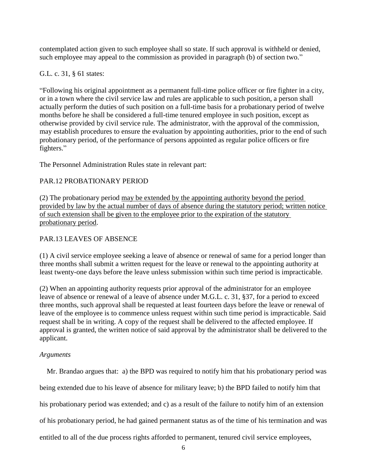contemplated action given to such employee shall so state. If such approval is withheld or denied, such employee may appeal to the commission as provided in paragraph (b) of section two."

## G.L. c. 31, § 61 states:

"Following his original appointment as a permanent full-time police officer or fire fighter in a city, or in a town where the civil service law and rules are applicable to such position, a person shall actually perform the duties of such position on a full-time basis for a probationary period of twelve months before he shall be considered a full-time tenured employee in such position, except as otherwise provided by civil service rule. The administrator, with the approval of the commission, may establish procedures to ensure the evaluation by appointing authorities, prior to the end of such probationary period, of the performance of persons appointed as regular police officers or fire fighters."

The Personnel Administration Rules state in relevant part:

# PAR.12 PROBATIONARY PERIOD

(2) The probationary period may be extended by the appointing authority beyond the period provided by law by the actual number of days of absence during the statutory period; written notice of such extension shall be given to the employee prior to the expiration of the statutory probationary period.

# PAR.13 LEAVES OF ABSENCE

(1) A civil service employee seeking a leave of absence or renewal of same for a period longer than three months shall submit a written request for the leave or renewal to the appointing authority at least twenty-one days before the leave unless submission within such time period is impracticable.

(2) When an appointing authority requests prior approval of the administrator for an employee leave of absence or renewal of a leave of absence under M.G.L. c. 31, §37, for a period to exceed three months, such approval shall be requested at least fourteen days before the leave or renewal of leave of the employee is to commence unless request within such time period is impracticable. Said request shall be in writing. A copy of the request shall be delivered to the affected employee. If approval is granted, the written notice of said approval by the administrator shall be delivered to the applicant.

## *Arguments*

 Mr. Brandao argues that: a) the BPD was required to notify him that his probationary period was being extended due to his leave of absence for military leave; b) the BPD failed to notify him that his probationary period was extended; and c) as a result of the failure to notify him of an extension of his probationary period, he had gained permanent status as of the time of his termination and was entitled to all of the due process rights afforded to permanent, tenured civil service employees,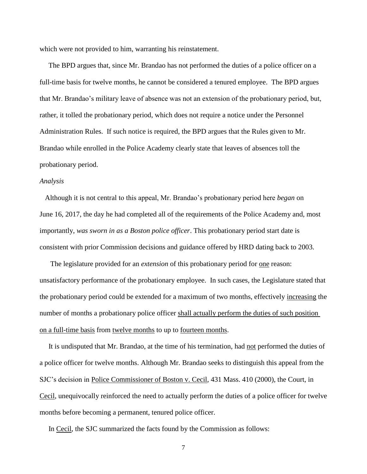which were not provided to him, warranting his reinstatement.

 The BPD argues that, since Mr. Brandao has not performed the duties of a police officer on a full-time basis for twelve months, he cannot be considered a tenured employee. The BPD argues that Mr. Brandao's military leave of absence was not an extension of the probationary period, but, rather, it tolled the probationary period, which does not require a notice under the Personnel Administration Rules. If such notice is required, the BPD argues that the Rules given to Mr. Brandao while enrolled in the Police Academy clearly state that leaves of absences toll the probationary period.

### *Analysis*

 Although it is not central to this appeal, Mr. Brandao's probationary period here *began* on June 16, 2017, the day he had completed all of the requirements of the Police Academy and, most importantly, *was sworn in as a Boston police officer*. This probationary period start date is consistent with prior Commission decisions and guidance offered by HRD dating back to 2003.

 The legislature provided for an *extension* of this probationary period for one reason: unsatisfactory performance of the probationary employee. In such cases, the Legislature stated that the probationary period could be extended for a maximum of two months, effectively increasing the number of months a probationary police officer shall actually perform the duties of such position on a full-time basis from twelve months to up to fourteen months.

 It is undisputed that Mr. Brandao, at the time of his termination, had not performed the duties of a police officer for twelve months. Although Mr. Brandao seeks to distinguish this appeal from the SJC's decision in Police Commissioner of Boston v. Cecil, 431 Mass. 410 (2000), the Court, in Cecil, unequivocally reinforced the need to actually perform the duties of a police officer for twelve months before becoming a permanent, tenured police officer.

In Cecil, the SJC summarized the facts found by the Commission as follows: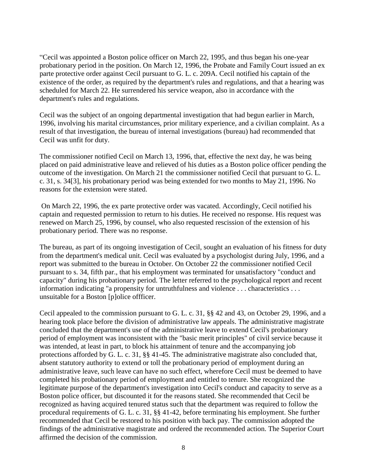"Cecil was appointed a Boston police officer on March 22, 1995, and thus began his one-year probationary period in the position. On March 12, 1996, the Probate and Family Court issued an ex parte protective order against Cecil pursuant to G. L. c. 209A. Cecil notified his captain of the existence of the order, as required by the department's rules and regulations, and that a hearing was scheduled for March 22. He surrendered his service weapon, also in accordance with the department's rules and regulations.

Cecil was the subject of an ongoing departmental investigation that had begun earlier in March, 1996, involving his marital circumstances, prior military experience, and a civilian complaint. As a result of that investigation, the bureau of internal investigations (bureau) had recommended that Cecil was unfit for duty.

The commissioner notified Cecil on March 13, 1996, that, effective the next day, he was being placed on paid administrative leave and relieved of his duties as a Boston police officer pending the outcome of the investigation. On March 21 the commissioner notified Cecil that pursuant to G. L. c. 31, s. 34[3], his probationary period was being extended for two months to May 21, 1996. No reasons for the extension were stated.

On March 22, 1996, the ex parte protective order was vacated. Accordingly, Cecil notified his captain and requested permission to return to his duties. He received no response. His request was renewed on March 25, 1996, by counsel, who also requested rescission of the extension of his probationary period. There was no response.

The bureau, as part of its ongoing investigation of Cecil, sought an evaluation of his fitness for duty from the department's medical unit. Cecil was evaluated by a psychologist during July, 1996, and a report was submitted to the bureau in October. On October 22 the commissioner notified Cecil pursuant to s. 34, fifth par., that his employment was terminated for unsatisfactory "conduct and capacity" during his probationary period. The letter referred to the psychological report and recent information indicating "a propensity for untruthfulness and violence . . . characteristics . . . unsuitable for a Boston [p]olice offficer.

Cecil appealed to the commission pursuant to G. L. c. 31, §§ 42 and 43, on October 29, 1996, and a hearing took place before the division of administrative law appeals. The administrative magistrate concluded that the department's use of the administrative leave to extend Cecil's probationary period of employment was inconsistent with the "basic merit principles" of civil service because it was intended, at least in part, to block his attainment of tenure and the accompanying job protections afforded by G. L. c. 31, §§ 41-45. The administrative magistrate also concluded that, absent statutory authority to extend or toll the probationary period of employment during an administrative leave, such leave can have no such effect, wherefore Cecil must be deemed to have completed his probationary period of employment and entitled to tenure. She recognized the legitimate purpose of the department's investigation into Cecil's conduct and capacity to serve as a Boston police officer, but discounted it for the reasons stated. She recommended that Cecil be recognized as having acquired tenured status such that the department was required to follow the procedural requirements of G. L. c. 31, §§ 41-42, before terminating his employment. She further recommended that Cecil be restored to his position with back pay. The commission adopted the findings of the administrative magistrate and ordered the recommended action. The Superior Court affirmed the decision of the commission.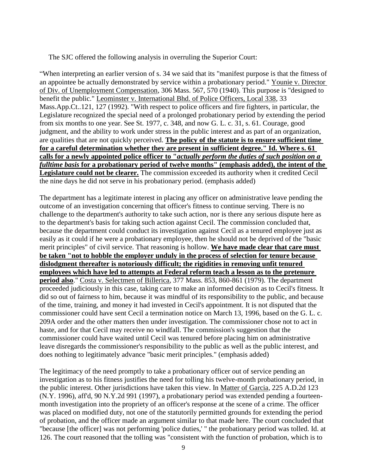The SJC offered the following analysis in overruling the Superior Court:

"When interpreting an earlier version of s. 34 we said that its "manifest purpose is that the fitness of an appointee be actually demonstrated by service within a probationary period." Younie v. Director of Div. of Unemployment Compensation, 306 Mass. 567, 570 (1940). This purpose is "designed to benefit the public." Leominster v. International Bhd. of Police Officers, Local 338, 33 Mass.App.Ct..121, 127 (1992). "With respect to police officers and fire fighters, in particular, the Legislature recognized the special need of a prolonged probationary period by extending the period from six months to one year. See St. 1977, c. 348, and now G. L. c. 31, s. 61. Courage, good judgment, and the ability to work under stress in the public interest and as part of an organization, are qualities that are not quickly perceived. **The policy of the statute is to ensure sufficient time for a careful determination whether they are present in sufficient degree." Id. Where s. 61 calls for a newly appointed police officer to "***actually perform the duties of such position on a fulltime basis* **for a probationary period of twelve months" (emphasis added), the intent of the Legislature could not be clearer.** The commission exceeded its authority when it credited Cecil the nine days he did not serve in his probationary period. (emphasis added)

The department has a legitimate interest in placing any officer on administrative leave pending the outcome of an investigation concerning that officer's fitness to continue serving. There is no challenge to the department's authority to take such action, nor is there any serious dispute here as to the department's basis for taking such action against Cecil. The commission concluded that, because the department could conduct its investigation against Cecil as a tenured employee just as easily as it could if he were a probationary employee, then he should not be deprived of the "basic merit principles" of civil service. That reasoning is hollow. **We have made clear that care must be taken "not to hobble the employer unduly in the process of selection for tenure because dislodgment thereafter is notoriously difficult; the rigidities in removing unfit tenured employees which have led to attempts at Federal reform teach a lesson as to the pretenure period also**." Costa v. Selectmen of Billerica, 377 Mass. 853, 860-861 (1979). The department proceeded judiciously in this case, taking care to make an informed decision as to Cecil's fitness. It did so out of fairness to him, because it was mindful of its responsibility to the public, and because of the time, training, and money it had invested in Cecil's appointment. It is not disputed that the commissioner could have sent Cecil a termination notice on March 13, 1996, based on the G. L. c. 209A order and the other matters then under investigation. The commissioner chose not to act in haste, and for that Cecil may receive no windfall. The commission's suggestion that the commissioner could have waited until Cecil was tenured before placing him on administrative leave disregards the commissioner's responsibility to the public as well as the public interest, and does nothing to legitimately advance "basic merit principles." (emphasis added)

The legitimacy of the need promptly to take a probationary officer out of service pending an investigation as to his fitness justifies the need for tolling his twelve-month probationary period, in the public interest. Other jurisdictions have taken this view. In Matter of Garcia, 225 A.D.2d 123 (N.Y. 1996), aff'd, 90 N.Y.2d 991 (1997), a probationary period was extended pending a fourteenmonth investigation into the propriety of an officer's response at the scene of a crime. The officer was placed on modified duty, not one of the statutorily permitted grounds for extending the period of probation, and the officer made an argument similar to that made here. The court concluded that "because [the officer] was not performing 'police duties,' " the probationary period was tolled. Id. at 126. The court reasoned that the tolling was "consistent with the function of probation, which is to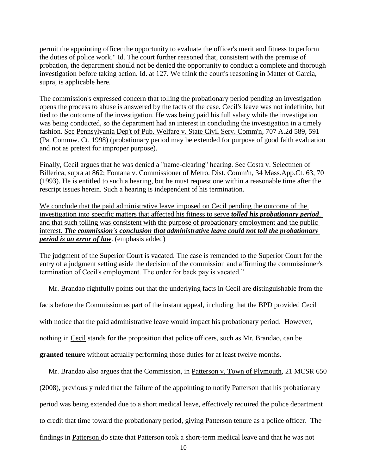permit the appointing officer the opportunity to evaluate the officer's merit and fitness to perform the duties of police work." Id. The court further reasoned that, consistent with the premise of probation, the department should not be denied the opportunity to conduct a complete and thorough investigation before taking action. Id. at 127. We think the court's reasoning in Matter of Garcia, supra, is applicable here.

The commission's expressed concern that tolling the probationary period pending an investigation opens the process to abuse is answered by the facts of the case. Cecil's leave was not indefinite, but tied to the outcome of the investigation. He was being paid his full salary while the investigation was being conducted, so the department had an interest in concluding the investigation in a timely fashion. See Pennsylvania Dep't of Pub. Welfare v. State Civil Serv. Comm'n, 707 A.2d 589, 591 (Pa. Commw. Ct. 1998) (probationary period may be extended for purpose of good faith evaluation and not as pretext for improper purpose).

Finally, Cecil argues that he was denied a "name-clearing" hearing. See Costa v. Selectmen of Billerica, supra at 862; Fontana v. Commissioner of Metro. Dist. Comm'n, 34 Mass.App.Ct. 63, 70 (1993). He is entitled to such a hearing, but he must request one within a reasonable time after the rescript issues herein. Such a hearing is independent of his termination.

We conclude that the paid administrative leave imposed on Cecil pending the outcome of the investigation into specific matters that affected his fitness to serve *tolled his probationary period,* and that such tolling was consistent with the purpose of probationary employment and the public interest. *The commission's conclusion that administrative leave could not toll the probationary period is an error of law*. (emphasis added)

The judgment of the Superior Court is vacated. The case is remanded to the Superior Court for the entry of a judgment setting aside the decision of the commission and affirming the commissioner's termination of Cecil's employment. The order for back pay is vacated."

Mr. Brandao rightfully points out that the underlying facts in Cecil are distinguishable from the

facts before the Commission as part of the instant appeal, including that the BPD provided Cecil

with notice that the paid administrative leave would impact his probationary period. However,

nothing in Cecil stands for the proposition that police officers, such as Mr. Brandao, can be

**granted tenure** without actually performing those duties for at least twelve months.

Mr. Brandao also argues that the Commission, in Patterson v. Town of Plymouth, 21 MCSR 650

(2008), previously ruled that the failure of the appointing to notify Patterson that his probationary

period was being extended due to a short medical leave, effectively required the police department

to credit that time toward the probationary period, giving Patterson tenure as a police officer. The

findings in Patterson do state that Patterson took a short-term medical leave and that he was not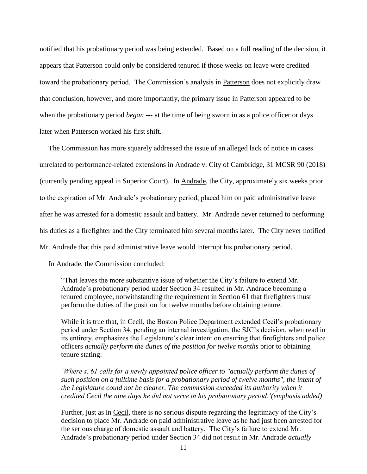notified that his probationary period was being extended. Based on a full reading of the decision, it appears that Patterson could only be considered tenured if those weeks on leave were credited toward the probationary period. The Commission's analysis in Patterson does not explicitly draw that conclusion, however, and more importantly, the primary issue in Patterson appeared to be when the probationary period *began* --- at the time of being sworn in as a police officer or days later when Patterson worked his first shift.

 The Commission has more squarely addressed the issue of an alleged lack of notice in cases unrelated to performance-related extensions in Andrade v. City of Cambridge, 31 MCSR 90 (2018) (currently pending appeal in Superior Court). In Andrade, the City, approximately six weeks prior to the expiration of Mr. Andrade's probationary period, placed him on paid administrative leave after he was arrested for a domestic assault and battery. Mr. Andrade never returned to performing his duties as a firefighter and the City terminated him several months later. The City never notified Mr. Andrade that this paid administrative leave would interrupt his probationary period.

In Andrade, the Commission concluded:

"That leaves the more substantive issue of whether the City's failure to extend Mr. Andrade's probationary period under Section 34 resulted in Mr. Andrade becoming a tenured employee, notwithstanding the requirement in Section 61 that firefighters must perform the duties of the position for twelve months before obtaining tenure.

While it is true that, in Cecil, the Boston Police Department extended Cecil's probationary period under Section 34, pending an internal investigation, the SJC's decision, when read in its entirety, emphasizes the Legislature's clear intent on ensuring that firefighters and police officers *actually perform the duties of the position for twelve months* prior to obtaining tenure stating:

*'Where s. 61 calls for a newly appointed police officer to "actually perform the duties of such position on a fulltime basis for a probationary period of twelve months", the intent of the Legislature could not be clearer. The commission exceeded its authority when it credited Cecil the nine days he did not serve in his probationary period.'(emphasis added)*

Further, just as in Cecil, there is no serious dispute regarding the legitimacy of the City's decision to place Mr. Andrade on paid administrative leave as he had just been arrested for the serious charge of domestic assault and battery. The City's failure to extend Mr. Andrade's probationary period under Section 34 did not result in Mr. Andrade *actually*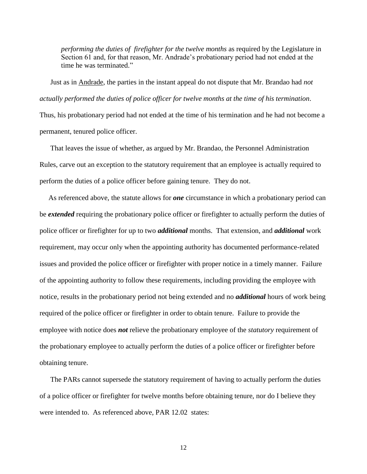*performing the duties of firefighter for the twelve months* as required by the Legislature in Section 61 and, for that reason, Mr. Andrade's probationary period had not ended at the time he was terminated."

 Just as in Andrade, the parties in the instant appeal do not dispute that Mr. Brandao had *not actually performed the duties of police officer for twelve months at the time of his termination*.

Thus, his probationary period had not ended at the time of his termination and he had not become a permanent, tenured police officer.

 That leaves the issue of whether, as argued by Mr. Brandao, the Personnel Administration Rules, carve out an exception to the statutory requirement that an employee is actually required to perform the duties of a police officer before gaining tenure. They do not.

 As referenced above, the statute allows for *one* circumstance in which a probationary period can be *extended* requiring the probationary police officer or firefighter to actually perform the duties of police officer or firefighter for up to two *additional* months. That extension, and *additional* work requirement, may occur only when the appointing authority has documented performance-related issues and provided the police officer or firefighter with proper notice in a timely manner. Failure of the appointing authority to follow these requirements, including providing the employee with notice, results in the probationary period not being extended and no *additional* hours of work being required of the police officer or firefighter in order to obtain tenure. Failure to provide the employee with notice does *not* relieve the probationary employee of the *statutory* requirement of the probationary employee to actually perform the duties of a police officer or firefighter before obtaining tenure.

 The PARs cannot supersede the statutory requirement of having to actually perform the duties of a police officer or firefighter for twelve months before obtaining tenure, nor do I believe they were intended to. As referenced above, PAR 12.02 states:

12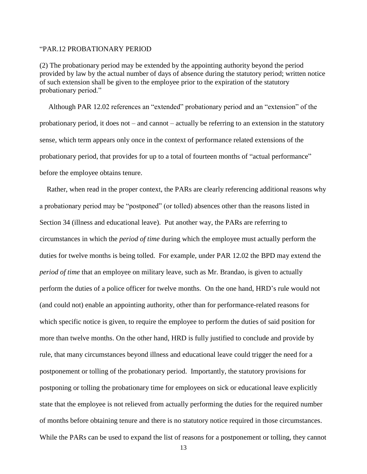#### "PAR.12 PROBATIONARY PERIOD

(2) The probationary period may be extended by the appointing authority beyond the period provided by law by the actual number of days of absence during the statutory period; written notice of such extension shall be given to the employee prior to the expiration of the statutory probationary period."

 Although PAR 12.02 references an "extended" probationary period and an "extension" of the probationary period, it does not – and cannot – actually be referring to an extension in the statutory sense, which term appears only once in the context of performance related extensions of the probationary period, that provides for up to a total of fourteen months of "actual performance" before the employee obtains tenure.

 Rather, when read in the proper context, the PARs are clearly referencing additional reasons why a probationary period may be "postponed" (or tolled) absences other than the reasons listed in Section 34 (illness and educational leave). Put another way, the PARs are referring to circumstances in which the *period of time* during which the employee must actually perform the duties for twelve months is being tolled. For example, under PAR 12.02 the BPD may extend the *period of time* that an employee on military leave, such as Mr. Brandao, is given to actually perform the duties of a police officer for twelve months. On the one hand, HRD's rule would not (and could not) enable an appointing authority, other than for performance-related reasons for which specific notice is given, to require the employee to perform the duties of said position for more than twelve months. On the other hand, HRD is fully justified to conclude and provide by rule, that many circumstances beyond illness and educational leave could trigger the need for a postponement or tolling of the probationary period. Importantly, the statutory provisions for postponing or tolling the probationary time for employees on sick or educational leave explicitly state that the employee is not relieved from actually performing the duties for the required number of months before obtaining tenure and there is no statutory notice required in those circumstances. While the PARs can be used to expand the list of reasons for a postponement or tolling, they cannot

13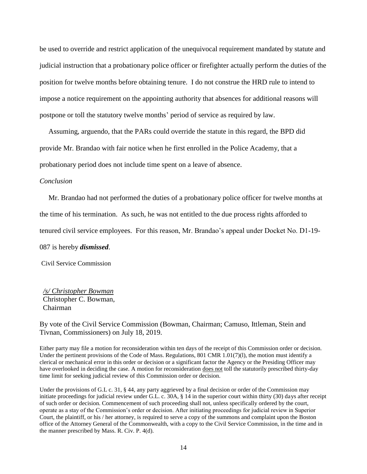be used to override and restrict application of the unequivocal requirement mandated by statute and judicial instruction that a probationary police officer or firefighter actually perform the duties of the position for twelve months before obtaining tenure. I do not construe the HRD rule to intend to impose a notice requirement on the appointing authority that absences for additional reasons will postpone or toll the statutory twelve months' period of service as required by law.

 Assuming, arguendo, that the PARs could override the statute in this regard, the BPD did provide Mr. Brandao with fair notice when he first enrolled in the Police Academy, that a probationary period does not include time spent on a leave of absence.

### *Conclusion*

 Mr. Brandao had not performed the duties of a probationary police officer for twelve months at the time of his termination. As such, he was not entitled to the due process rights afforded to

tenured civil service employees. For this reason, Mr. Brandao's appeal under Docket No. D1-19-

087 is hereby *dismissed*.

Civil Service Commission

*/s/ Christopher Bowman* Christopher C. Bowman, Chairman

By vote of the Civil Service Commission (Bowman, Chairman; Camuso, Ittleman, Stein and Tivnan, Commissioners) on July 18, 2019.

Either party may file a motion for reconsideration within ten days of the receipt of this Commission order or decision. Under the pertinent provisions of the Code of Mass. Regulations, 801 CMR  $1.01(7)(1)$ , the motion must identify a clerical or mechanical error in this order or decision or a significant factor the Agency or the Presiding Officer may have overlooked in deciding the case. A motion for reconsideration <u>does not</u> toll the statutorily prescribed thirty-day time limit for seeking judicial review of this Commission order or decision.

Under the provisions of G.L c. 31, § 44, any party aggrieved by a final decision or order of the Commission may initiate proceedings for judicial review under G.L. c. 30A, § 14 in the superior court within thirty (30) days after receipt of such order or decision. Commencement of such proceeding shall not, unless specifically ordered by the court, operate as a stay of the Commission's order or decision. After initiating proceedings for judicial review in Superior Court, the plaintiff, or his / her attorney, is required to serve a copy of the summons and complaint upon the Boston office of the Attorney General of the Commonwealth, with a copy to the Civil Service Commission, in the time and in the manner prescribed by Mass. R. Civ. P. 4(d).